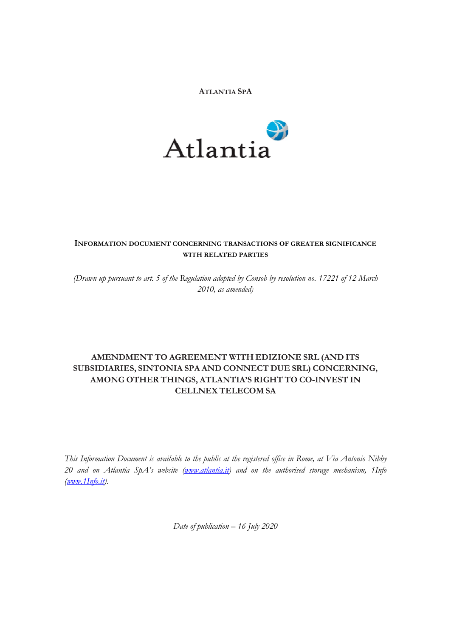#### **ATLANTIA SPA**



## **INFORMATION DOCUMENT CONCERNING TRANSACTIONS OF GREATER SIGNIFICANCE WITH RELATED PARTIES**

*(Drawn up pursuant to art. 5 of the Regulation adopted by Consob by resolution no. 17221 of 12 March 2010, as amended)* 

# **AMENDMENT TO AGREEMENT WITH EDIZIONE SRL (AND ITS SUBSIDIARIES, SINTONIA SPA AND CONNECT DUE SRL) CONCERNING, AMONG OTHER THINGS, ATLANTIA'S RIGHT TO CO-INVEST IN CELLNEX TELECOM SA**

*This Information Document is available to the public at the registered office in Rome, at Via Antonio Nibby 20 and on Atlantia SpA's website [\(www.atlantia.it\)](http://www.atlantia.it/) and on the authorised storage mechanism, 1Info [\(www.1Info.it\)](http://www.1info.it/).* 

*Date of publication – 16 July 2020*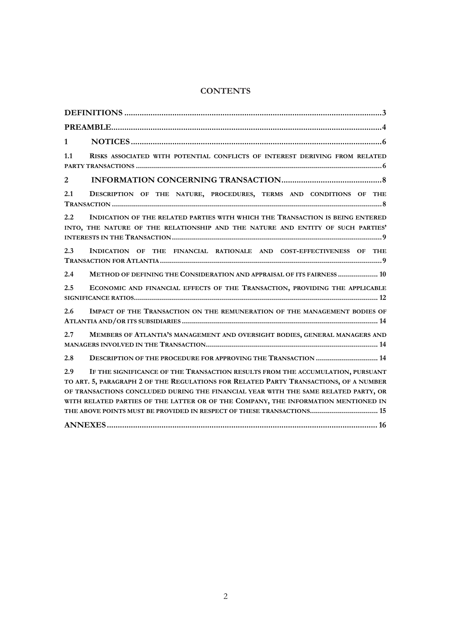## **CONTENTS**

| $\mathbf{1}$                                                                                                                                                                                                                                                                                                                                                                                                                         |
|--------------------------------------------------------------------------------------------------------------------------------------------------------------------------------------------------------------------------------------------------------------------------------------------------------------------------------------------------------------------------------------------------------------------------------------|
| 1.1<br>RISKS ASSOCIATED WITH POTENTIAL CONFLICTS OF INTEREST DERIVING FROM RELATED                                                                                                                                                                                                                                                                                                                                                   |
| $\overline{2}$                                                                                                                                                                                                                                                                                                                                                                                                                       |
| 2.1<br>DESCRIPTION OF THE NATURE, PROCEDURES, TERMS AND CONDITIONS OF THE                                                                                                                                                                                                                                                                                                                                                            |
| INDICATION OF THE RELATED PARTIES WITH WHICH THE TRANSACTION IS BEING ENTERED<br>2.2<br>INTO, THE NATURE OF THE RELATIONSHIP AND THE NATURE AND ENTITY OF SUCH PARTIES'                                                                                                                                                                                                                                                              |
| 2.3<br>INDICATION OF THE FINANCIAL RATIONALE AND COST-EFFECTIVENESS OF THE                                                                                                                                                                                                                                                                                                                                                           |
| 2.4<br>METHOD OF DEFINING THE CONSIDERATION AND APPRAISAL OF ITS FAIRNESS  10                                                                                                                                                                                                                                                                                                                                                        |
| ECONOMIC AND FINANCIAL EFFECTS OF THE TRANSACTION, PROVIDING THE APPLICABLE<br>2.5                                                                                                                                                                                                                                                                                                                                                   |
| 2.6<br>IMPACT OF THE TRANSACTION ON THE REMUNERATION OF THE MANAGEMENT BODIES OF                                                                                                                                                                                                                                                                                                                                                     |
| 2.7<br>MEMBERS OF ATLANTIA'S MANAGEMENT AND OVERSIGHT BODIES, GENERAL MANAGERS AND                                                                                                                                                                                                                                                                                                                                                   |
| DESCRIPTION OF THE PROCEDURE FOR APPROVING THE TRANSACTION  14<br>2.8                                                                                                                                                                                                                                                                                                                                                                |
| 2.9<br>IF THE SIGNIFICANCE OF THE TRANSACTION RESULTS FROM THE ACCUMULATION, PURSUANT<br>TO ART. 5, PARAGRAPH 2 OF THE REGULATIONS FOR RELATED PARTY TRANSACTIONS, OF A NUMBER<br>OF TRANSACTIONS CONCLUDED DURING THE FINANCIAL YEAR WITH THE SAME RELATED PARTY, OR<br>WITH RELATED PARTIES OF THE LATTER OR OF THE COMPANY, THE INFORMATION MENTIONED IN<br>THE ABOVE POINTS MUST BE PROVIDED IN RESPECT OF THESE TRANSACTIONS 15 |
|                                                                                                                                                                                                                                                                                                                                                                                                                                      |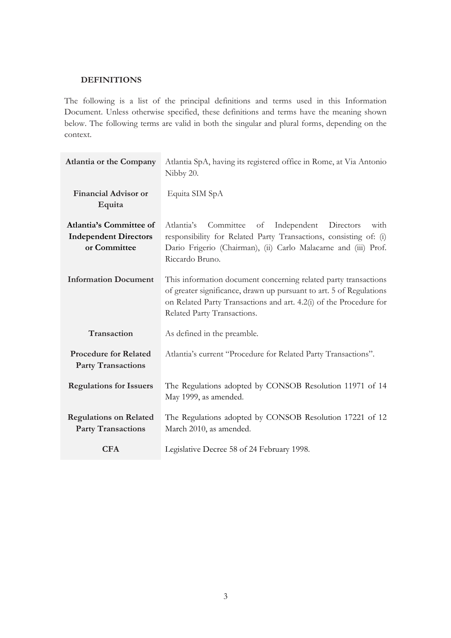#### <span id="page-2-0"></span>**DEFINITIONS**

The following is a list of the principal definitions and terms used in this Information Document. Unless otherwise specified, these definitions and terms have the meaning shown below. The following terms are valid in both the singular and plural forms, depending on the context.

| <b>Atlantia or the Company</b>                                                 | Atlantia SpA, having its registered office in Rome, at Via Antonio<br>Nibby 20.                                                                                                                                                             |  |  |  |  |
|--------------------------------------------------------------------------------|---------------------------------------------------------------------------------------------------------------------------------------------------------------------------------------------------------------------------------------------|--|--|--|--|
| <b>Financial Advisor or</b><br>Equita                                          | Equita SIM SpA                                                                                                                                                                                                                              |  |  |  |  |
| <b>Atlantia's Committee of</b><br><b>Independent Directors</b><br>or Committee | Committee<br>Atlantia's<br>Independent<br>Directors<br>of<br>with<br>responsibility for Related Party Transactions, consisting of: (i)<br>Dario Frigerio (Chairman), (ii) Carlo Malacarne and (iii) Prof.<br>Riccardo Bruno.                |  |  |  |  |
| <b>Information Document</b>                                                    | This information document concerning related party transactions<br>of greater significance, drawn up pursuant to art. 5 of Regulations<br>on Related Party Transactions and art. 4.2(i) of the Procedure for<br>Related Party Transactions. |  |  |  |  |
| Transaction                                                                    | As defined in the preamble.                                                                                                                                                                                                                 |  |  |  |  |
| <b>Procedure for Related</b><br><b>Party Transactions</b>                      | Atlantia's current "Procedure for Related Party Transactions".                                                                                                                                                                              |  |  |  |  |
| <b>Regulations for Issuers</b>                                                 | The Regulations adopted by CONSOB Resolution 11971 of 14<br>May 1999, as amended.                                                                                                                                                           |  |  |  |  |
| <b>Regulations on Related</b><br><b>Party Transactions</b>                     | The Regulations adopted by CONSOB Resolution 17221 of 12<br>March 2010, as amended.                                                                                                                                                         |  |  |  |  |
| <b>CFA</b>                                                                     | Legislative Decree 58 of 24 February 1998.                                                                                                                                                                                                  |  |  |  |  |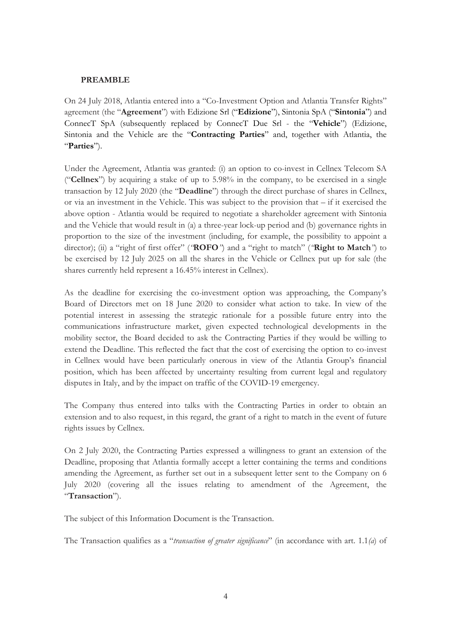#### <span id="page-3-0"></span>**PREAMBLE**

On 24 July 2018, Atlantia entered into a "Co-Investment Option and Atlantia Transfer Rights" agreement (the "**Agreement**") with Edizione Srl ("**Edizione**"), Sintonia SpA ("**Sintonia**") and ConnecT SpA (subsequently replaced by ConnecT Due Srl - the "**Vehicle**") (Edizione, Sintonia and the Vehicle are the "**Contracting Parties**" and, together with Atlantia, the "**Parties**").

Under the Agreement, Atlantia was granted: (i) an option to co-invest in Cellnex Telecom SA ("**Cellnex**") by acquiring a stake of up to 5.98% in the company, to be exercised in a single transaction by 12 July 2020 (the "**Deadline**") through the direct purchase of shares in Cellnex, or via an investment in the Vehicle. This was subject to the provision that – if it exercised the above option - Atlantia would be required to negotiate a shareholder agreement with Sintonia and the Vehicle that would result in (a) a three-year lock-up period and (b) governance rights in proportion to the size of the investment (including, for example, the possibility to appoint a director); (ii) a "right of first offer" (*"***ROFO***"*) and a "right to match" (*"***Right to Match***"*) to be exercised by 12 July 2025 on all the shares in the Vehicle or Cellnex put up for sale (the shares currently held represent a 16.45% interest in Cellnex).

As the deadline for exercising the co-investment option was approaching, the Company's Board of Directors met on 18 June 2020 to consider what action to take. In view of the potential interest in assessing the strategic rationale for a possible future entry into the communications infrastructure market, given expected technological developments in the mobility sector, the Board decided to ask the Contracting Parties if they would be willing to extend the Deadline. This reflected the fact that the cost of exercising the option to co-invest in Cellnex would have been particularly onerous in view of the Atlantia Group's financial position, which has been affected by uncertainty resulting from current legal and regulatory disputes in Italy, and by the impact on traffic of the COVID-19 emergency.

The Company thus entered into talks with the Contracting Parties in order to obtain an extension and to also request, in this regard, the grant of a right to match in the event of future rights issues by Cellnex.

On 2 July 2020, the Contracting Parties expressed a willingness to grant an extension of the Deadline, proposing that Atlantia formally accept a letter containing the terms and conditions amending the Agreement, as further set out in a subsequent letter sent to the Company on 6 July 2020 (covering all the issues relating to amendment of the Agreement, the "**Transaction**").

The subject of this Information Document is the Transaction.

The Transaction qualifies as a "*transaction of greater significance*" (in accordance with art. 1.1*(a*) of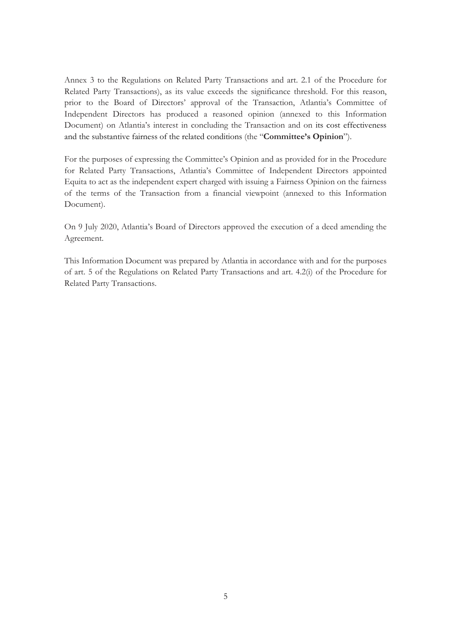Annex 3 to the Regulations on Related Party Transactions and art. 2.1 of the Procedure for Related Party Transactions), as its value exceeds the significance threshold. For this reason, prior to the Board of Directors' approval of the Transaction, Atlantia's Committee of Independent Directors has produced a reasoned opinion (annexed to this Information Document) on Atlantia's interest in concluding the Transaction and on its cost effectiveness and the substantive fairness of the related conditions (the "**Committee's Opinion**").

For the purposes of expressing the Committee's Opinion and as provided for in the Procedure for Related Party Transactions, Atlantia's Committee of Independent Directors appointed Equita to act as the independent expert charged with issuing a Fairness Opinion on the fairness of the terms of the Transaction from a financial viewpoint (annexed to this Information Document).

On 9 July 2020, Atlantia's Board of Directors approved the execution of a deed amending the Agreement.

This Information Document was prepared by Atlantia in accordance with and for the purposes of art. 5 of the Regulations on Related Party Transactions and art. 4.2(i) of the Procedure for Related Party Transactions.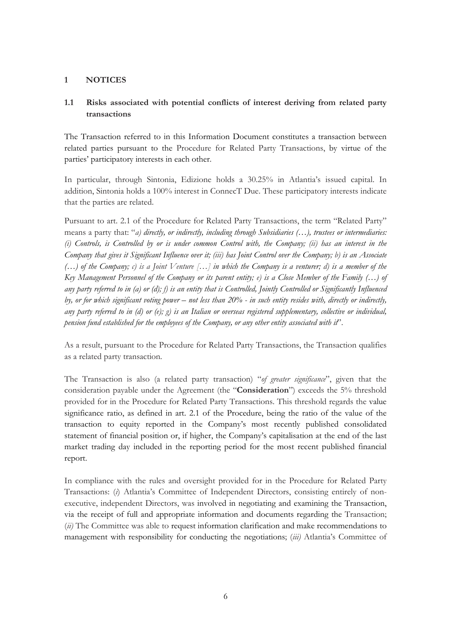## <span id="page-5-0"></span>**1 NOTICES**

# <span id="page-5-1"></span>**1.1 Risks associated with potential conflicts of interest deriving from related party transactions**

The Transaction referred to in this Information Document constitutes a transaction between related parties pursuant to the Procedure for Related Party Transactions, by virtue of the parties' participatory interests in each other.

In particular, through Sintonia, Edizione holds a 30.25% in Atlantia's issued capital. In addition, Sintonia holds a 100% interest in ConnecT Due. These participatory interests indicate that the parties are related.

Pursuant to art. 2.1 of the Procedure for Related Party Transactions, the term "Related Party" means a party that: "*a) directly, or indirectly, including through Subsidiaries (…), trustees or intermediaries: (i) Controls, is Controlled by or is under common Control with, the Company; (ii) has an interest in the Company that gives it Significant Influence over it; (iii) has Joint Control over the Company; b) is an Associate (…) of the Company; c) is a Joint Venture […] in which the Company is a venturer; d) is a member of the Key Management Personnel of the Company or its parent entity; e) is a Close Member of the Family (…) of any party referred to in (a) or (d); f) is an entity that is Controlled, Jointly Controlled or Significantly Influenced by, or for which significant voting power – not less than 20% - in such entity resides with, directly or indirectly, any party referred to in (d) or (e); g) is an Italian or overseas registered supplementary, collective or individual, pension fund established for the employees of the Company, or any other entity associated with it*".

As a result, pursuant to the Procedure for Related Party Transactions, the Transaction qualifies as a related party transaction.

The Transaction is also (a related party transaction) "*of greater significance*", given that the consideration payable under the Agreement (the "**Consideration**") exceeds the 5% threshold provided for in the Procedure for Related Party Transactions. This threshold regards the value significance ratio, as defined in art. 2.1 of the Procedure, being the ratio of the value of the transaction to equity reported in the Company's most recently published consolidated statement of financial position or, if higher, the Company's capitalisation at the end of the last market trading day included in the reporting period for the most recent published financial report.

In compliance with the rules and oversight provided for in the Procedure for Related Party Transactions: (*i*) Atlantia's Committee of Independent Directors, consisting entirely of nonexecutive, independent Directors, was involved in negotiating and examining the Transaction, via the receipt of full and appropriate information and documents regarding the Transaction; (*ii)* The Committee was able to request information clarification and make recommendations to management with responsibility for conducting the negotiations; (*iii)* Atlantia's Committee of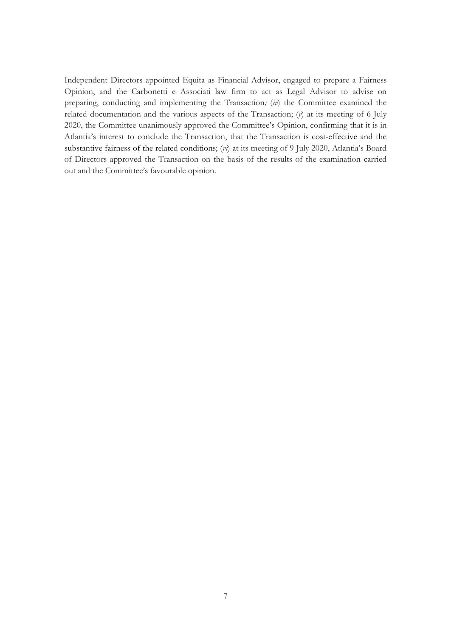Independent Directors appointed Equita as Financial Advisor, engaged to prepare a Fairness Opinion, and the Carbonetti e Associati law firm to act as Legal Advisor to advise on preparing, conducting and implementing the Transaction*;* (*iv*) the Committee examined the related documentation and the various aspects of the Transaction; (*v*) at its meeting of 6 July 2020, the Committee unanimously approved the Committee's Opinion, confirming that it is in Atlantia's interest to conclude the Transaction, that the Transaction is cost-effective and the substantive fairness of the related conditions; (*vi*) at its meeting of 9 July 2020, Atlantia's Board of Directors approved the Transaction on the basis of the results of the examination carried out and the Committee's favourable opinion.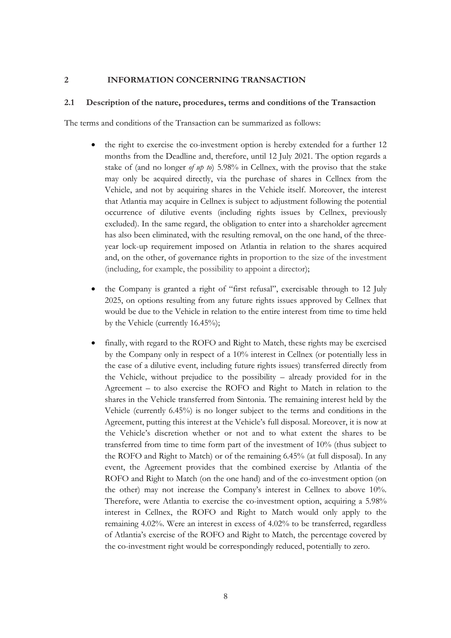#### <span id="page-7-0"></span>**2 INFORMATION CONCERNING TRANSACTION**

#### <span id="page-7-1"></span>**2.1 Description of the nature, procedures, terms and conditions of the Transaction**

The terms and conditions of the Transaction can be summarized as follows:

- the right to exercise the co-investment option is hereby extended for a further 12 months from the Deadline and, therefore, until 12 July 2021. The option regards a stake of (and no longer *of up to*) 5.98% in Cellnex, with the proviso that the stake may only be acquired directly, via the purchase of shares in Cellnex from the Vehicle, and not by acquiring shares in the Vehicle itself. Moreover, the interest that Atlantia may acquire in Cellnex is subject to adjustment following the potential occurrence of dilutive events (including rights issues by Cellnex, previously excluded). In the same regard, the obligation to enter into a shareholder agreement has also been eliminated, with the resulting removal, on the one hand, of the threeyear lock-up requirement imposed on Atlantia in relation to the shares acquired and, on the other, of governance rights in proportion to the size of the investment (including, for example, the possibility to appoint a director);
- the Company is granted a right of "first refusal", exercisable through to 12 July 2025, on options resulting from any future rights issues approved by Cellnex that would be due to the Vehicle in relation to the entire interest from time to time held by the Vehicle (currently 16.45%);
- finally, with regard to the ROFO and Right to Match, these rights may be exercised by the Company only in respect of a 10% interest in Cellnex (or potentially less in the case of a dilutive event, including future rights issues) transferred directly from the Vehicle, without prejudice to the possibility – already provided for in the Agreement – to also exercise the ROFO and Right to Match in relation to the shares in the Vehicle transferred from Sintonia. The remaining interest held by the Vehicle (currently 6.45%) is no longer subject to the terms and conditions in the Agreement, putting this interest at the Vehicle's full disposal. Moreover, it is now at the Vehicle's discretion whether or not and to what extent the shares to be transferred from time to time form part of the investment of 10% (thus subject to the ROFO and Right to Match) or of the remaining 6.45% (at full disposal). In any event, the Agreement provides that the combined exercise by Atlantia of the ROFO and Right to Match (on the one hand) and of the co-investment option (on the other) may not increase the Company's interest in Cellnex to above 10%. Therefore, were Atlantia to exercise the co-investment option, acquiring a 5.98% interest in Cellnex, the ROFO and Right to Match would only apply to the remaining 4.02%. Were an interest in excess of 4.02% to be transferred, regardless of Atlantia's exercise of the ROFO and Right to Match, the percentage covered by the co-investment right would be correspondingly reduced, potentially to zero.

8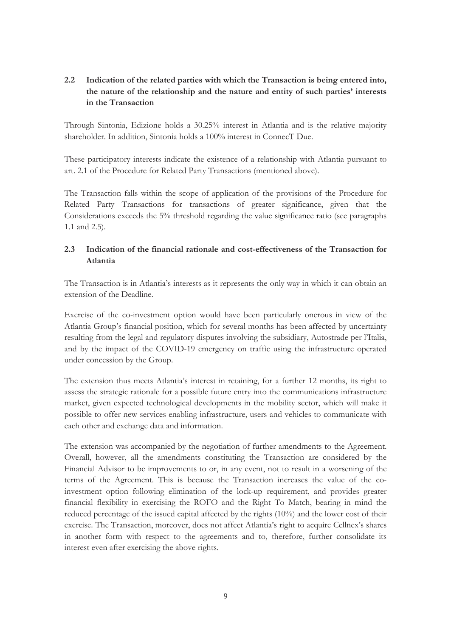# <span id="page-8-0"></span>**2.2 Indication of the related parties with which the Transaction is being entered into, the nature of the relationship and the nature and entity of such parties' interests in the Transaction**

Through Sintonia, Edizione holds a 30.25% interest in Atlantia and is the relative majority shareholder. In addition, Sintonia holds a 100% interest in ConnecT Due.

These participatory interests indicate the existence of a relationship with Atlantia pursuant to art. 2.1 of the Procedure for Related Party Transactions (mentioned above).

The Transaction falls within the scope of application of the provisions of the Procedure for Related Party Transactions for transactions of greater significance, given that the Considerations exceeds the 5% threshold regarding the value significance ratio (see paragraphs 1.1 and 2.5).

# <span id="page-8-1"></span>**2.3 Indication of the financial rationale and cost-effectiveness of the Transaction for Atlantia**

The Transaction is in Atlantia's interests as it represents the only way in which it can obtain an extension of the Deadline.

Exercise of the co-investment option would have been particularly onerous in view of the Atlantia Group's financial position, which for several months has been affected by uncertainty resulting from the legal and regulatory disputes involving the subsidiary, Autostrade per l'Italia, and by the impact of the COVID-19 emergency on traffic using the infrastructure operated under concession by the Group.

The extension thus meets Atlantia's interest in retaining, for a further 12 months, its right to assess the strategic rationale for a possible future entry into the communications infrastructure market, given expected technological developments in the mobility sector, which will make it possible to offer new services enabling infrastructure, users and vehicles to communicate with each other and exchange data and information.

The extension was accompanied by the negotiation of further amendments to the Agreement. Overall, however, all the amendments constituting the Transaction are considered by the Financial Advisor to be improvements to or, in any event, not to result in a worsening of the terms of the Agreement. This is because the Transaction increases the value of the coinvestment option following elimination of the lock-up requirement, and provides greater financial flexibility in exercising the ROFO and the Right To Match, bearing in mind the reduced percentage of the issued capital affected by the rights (10%) and the lower cost of their exercise. The Transaction, moreover, does not affect Atlantia's right to acquire Cellnex's shares in another form with respect to the agreements and to, therefore, further consolidate its interest even after exercising the above rights.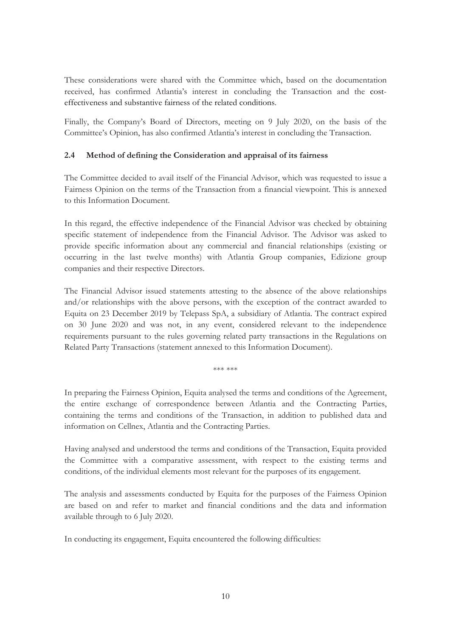These considerations were shared with the Committee which, based on the documentation received, has confirmed Atlantia's interest in concluding the Transaction and the costeffectiveness and substantive fairness of the related conditions.

Finally, the Company's Board of Directors, meeting on 9 July 2020, on the basis of the Committee's Opinion, has also confirmed Atlantia's interest in concluding the Transaction.

## <span id="page-9-0"></span>**2.4 Method of defining the Consideration and appraisal of its fairness**

The Committee decided to avail itself of the Financial Advisor, which was requested to issue a Fairness Opinion on the terms of the Transaction from a financial viewpoint. This is annexed to this Information Document.

In this regard, the effective independence of the Financial Advisor was checked by obtaining specific statement of independence from the Financial Advisor. The Advisor was asked to provide specific information about any commercial and financial relationships (existing or occurring in the last twelve months) with Atlantia Group companies, Edizione group companies and their respective Directors.

The Financial Advisor issued statements attesting to the absence of the above relationships and/or relationships with the above persons, with the exception of the contract awarded to Equita on 23 December 2019 by Telepass SpA, a subsidiary of Atlantia. The contract expired on 30 June 2020 and was not, in any event, considered relevant to the independence requirements pursuant to the rules governing related party transactions in the Regulations on Related Party Transactions (statement annexed to this Information Document).

\*\*\* \*\*\*

In preparing the Fairness Opinion, Equita analysed the terms and conditions of the Agreement, the entire exchange of correspondence between Atlantia and the Contracting Parties, containing the terms and conditions of the Transaction, in addition to published data and information on Cellnex, Atlantia and the Contracting Parties.

Having analysed and understood the terms and conditions of the Transaction, Equita provided the Committee with a comparative assessment, with respect to the existing terms and conditions, of the individual elements most relevant for the purposes of its engagement.

The analysis and assessments conducted by Equita for the purposes of the Fairness Opinion are based on and refer to market and financial conditions and the data and information available through to 6 July 2020.

In conducting its engagement, Equita encountered the following difficulties: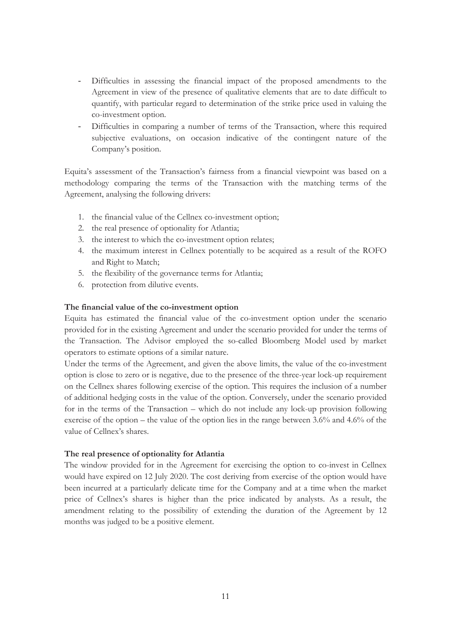- Difficulties in assessing the financial impact of the proposed amendments to the Agreement in view of the presence of qualitative elements that are to date difficult to quantify, with particular regard to determination of the strike price used in valuing the co-investment option.
- Difficulties in comparing a number of terms of the Transaction, where this required subjective evaluations, on occasion indicative of the contingent nature of the Company's position.

Equita's assessment of the Transaction's fairness from a financial viewpoint was based on a methodology comparing the terms of the Transaction with the matching terms of the Agreement, analysing the following drivers:

- 1. the financial value of the Cellnex co-investment option;
- 2. the real presence of optionality for Atlantia;
- 3. the interest to which the co-investment option relates;
- 4. the maximum interest in Cellnex potentially to be acquired as a result of the ROFO and Right to Match;
- 5. the flexibility of the governance terms for Atlantia;
- 6. protection from dilutive events.

#### **The financial value of the co-investment option**

Equita has estimated the financial value of the co-investment option under the scenario provided for in the existing Agreement and under the scenario provided for under the terms of the Transaction. The Advisor employed the so-called Bloomberg Model used by market operators to estimate options of a similar nature.

Under the terms of the Agreement, and given the above limits, the value of the co-investment option is close to zero or is negative, due to the presence of the three-year lock-up requirement on the Cellnex shares following exercise of the option. This requires the inclusion of a number of additional hedging costs in the value of the option. Conversely, under the scenario provided for in the terms of the Transaction – which do not include any lock-up provision following exercise of the option – the value of the option lies in the range between 3.6% and 4.6% of the value of Cellnex's shares.

#### **The real presence of optionality for Atlantia**

The window provided for in the Agreement for exercising the option to co-invest in Cellnex would have expired on 12 July 2020. The cost deriving from exercise of the option would have been incurred at a particularly delicate time for the Company and at a time when the market price of Cellnex's shares is higher than the price indicated by analysts. As a result, the amendment relating to the possibility of extending the duration of the Agreement by 12 months was judged to be a positive element.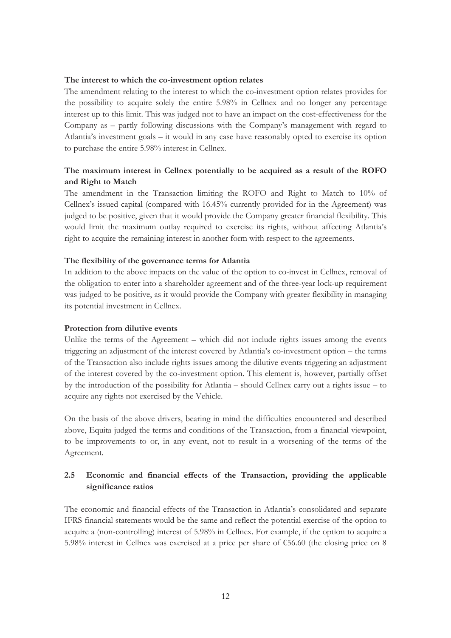#### **The interest to which the co-investment option relates**

The amendment relating to the interest to which the co-investment option relates provides for the possibility to acquire solely the entire 5.98% in Cellnex and no longer any percentage interest up to this limit. This was judged not to have an impact on the cost-effectiveness for the Company as – partly following discussions with the Company's management with regard to Atlantia's investment goals – it would in any case have reasonably opted to exercise its option to purchase the entire 5.98% interest in Cellnex.

## **The maximum interest in Cellnex potentially to be acquired as a result of the ROFO and Right to Match**

The amendment in the Transaction limiting the ROFO and Right to Match to 10% of Cellnex's issued capital (compared with 16.45% currently provided for in the Agreement) was judged to be positive, given that it would provide the Company greater financial flexibility. This would limit the maximum outlay required to exercise its rights, without affecting Atlantia's right to acquire the remaining interest in another form with respect to the agreements.

#### **The flexibility of the governance terms for Atlantia**

In addition to the above impacts on the value of the option to co-invest in Cellnex, removal of the obligation to enter into a shareholder agreement and of the three-year lock-up requirement was judged to be positive, as it would provide the Company with greater flexibility in managing its potential investment in Cellnex.

#### **Protection from dilutive events**

Unlike the terms of the Agreement – which did not include rights issues among the events triggering an adjustment of the interest covered by Atlantia's co-investment option – the terms of the Transaction also include rights issues among the dilutive events triggering an adjustment of the interest covered by the co-investment option. This element is, however, partially offset by the introduction of the possibility for Atlantia – should Cellnex carry out a rights issue – to acquire any rights not exercised by the Vehicle.

On the basis of the above drivers, bearing in mind the difficulties encountered and described above, Equita judged the terms and conditions of the Transaction, from a financial viewpoint, to be improvements to or, in any event, not to result in a worsening of the terms of the Agreement.

# <span id="page-11-0"></span>**2.5 Economic and financial effects of the Transaction, providing the applicable significance ratios**

The economic and financial effects of the Transaction in Atlantia's consolidated and separate IFRS financial statements would be the same and reflect the potential exercise of the option to acquire a (non-controlling) interest of 5.98% in Cellnex. For example, if the option to acquire a 5.98% interest in Cellnex was exercised at a price per share of €56.60 (the closing price on 8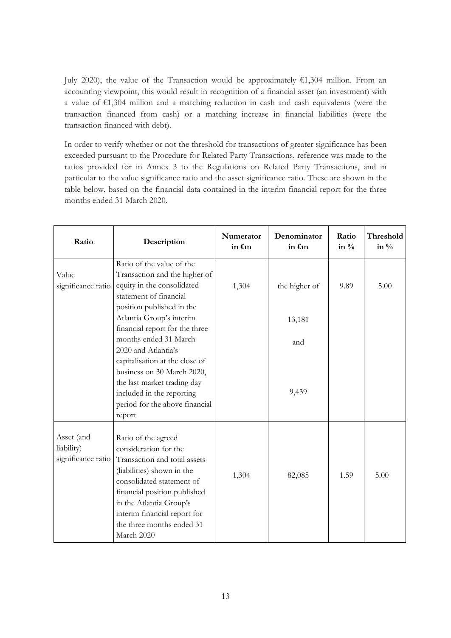July 2020), the value of the Transaction would be approximately  $\epsilon$ 1,304 million. From an accounting viewpoint, this would result in recognition of a financial asset (an investment) with a value of €1,304 million and a matching reduction in cash and cash equivalents (were the transaction financed from cash) or a matching increase in financial liabilities (were the transaction financed with debt).

In order to verify whether or not the threshold for transactions of greater significance has been exceeded pursuant to the Procedure for Related Party Transactions, reference was made to the ratios provided for in Annex 3 to the Regulations on Related Party Transactions, and in particular to the value significance ratio and the asset significance ratio. These are shown in the table below, based on the financial data contained in the interim financial report for the three months ended 31 March 2020.

| Ratio                                          | Description                                                                                                                                                                                                                                                                   | Numerator<br>in $\epsilon$ m | Denominator<br>in $\epsilon$ m | Ratio<br>in $\%$ | Threshold<br>in $\%$ |
|------------------------------------------------|-------------------------------------------------------------------------------------------------------------------------------------------------------------------------------------------------------------------------------------------------------------------------------|------------------------------|--------------------------------|------------------|----------------------|
|                                                | Ratio of the value of the                                                                                                                                                                                                                                                     |                              |                                |                  |                      |
| Value<br>significance ratio                    | Transaction and the higher of<br>equity in the consolidated<br>statement of financial                                                                                                                                                                                         | 1,304                        | the higher of                  | 9.89             | 5.00                 |
|                                                | position published in the<br>Atlantia Group's interim<br>financial report for the three                                                                                                                                                                                       |                              | 13,181                         |                  |                      |
|                                                | months ended 31 March<br>2020 and Atlantia's<br>capitalisation at the close of                                                                                                                                                                                                |                              | and                            |                  |                      |
|                                                | business on 30 March 2020,<br>the last market trading day<br>included in the reporting<br>period for the above financial<br>report                                                                                                                                            |                              | 9,439                          |                  |                      |
| Asset (and<br>liability)<br>significance ratio | Ratio of the agreed<br>consideration for the<br>Transaction and total assets<br>(liabilities) shown in the<br>consolidated statement of<br>financial position published<br>in the Atlantia Group's<br>interim financial report for<br>the three months ended 31<br>March 2020 | 1,304                        | 82,085                         | 1.59             | 5.00                 |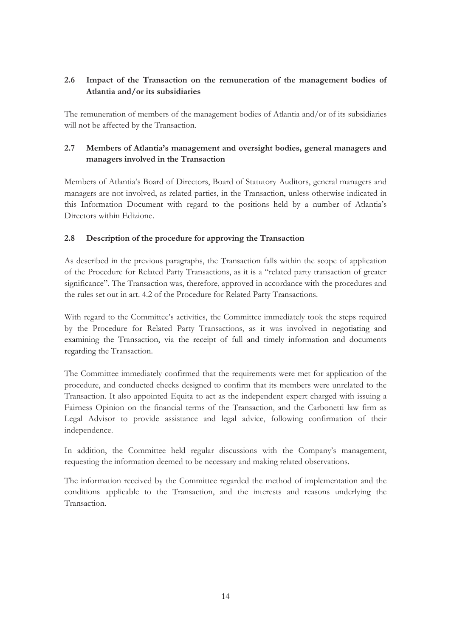# <span id="page-13-0"></span>**2.6 Impact of the Transaction on the remuneration of the management bodies of Atlantia and/or its subsidiaries**

The remuneration of members of the management bodies of Atlantia and/or of its subsidiaries will not be affected by the Transaction.

# <span id="page-13-1"></span>**2.7 Members of Atlantia's management and oversight bodies, general managers and managers involved in the Transaction**

Members of Atlantia's Board of Directors, Board of Statutory Auditors, general managers and managers are not involved, as related parties, in the Transaction, unless otherwise indicated in this Information Document with regard to the positions held by a number of Atlantia's Directors within Edizione.

## <span id="page-13-2"></span>**2.8 Description of the procedure for approving the Transaction**

As described in the previous paragraphs, the Transaction falls within the scope of application of the Procedure for Related Party Transactions, as it is a "related party transaction of greater significance". The Transaction was, therefore, approved in accordance with the procedures and the rules set out in art. 4.2 of the Procedure for Related Party Transactions.

With regard to the Committee's activities, the Committee immediately took the steps required by the Procedure for Related Party Transactions, as it was involved in negotiating and examining the Transaction, via the receipt of full and timely information and documents regarding the Transaction.

The Committee immediately confirmed that the requirements were met for application of the procedure, and conducted checks designed to confirm that its members were unrelated to the Transaction. It also appointed Equita to act as the independent expert charged with issuing a Fairness Opinion on the financial terms of the Transaction, and the Carbonetti law firm as Legal Advisor to provide assistance and legal advice, following confirmation of their independence.

In addition, the Committee held regular discussions with the Company's management, requesting the information deemed to be necessary and making related observations.

The information received by the Committee regarded the method of implementation and the conditions applicable to the Transaction, and the interests and reasons underlying the Transaction.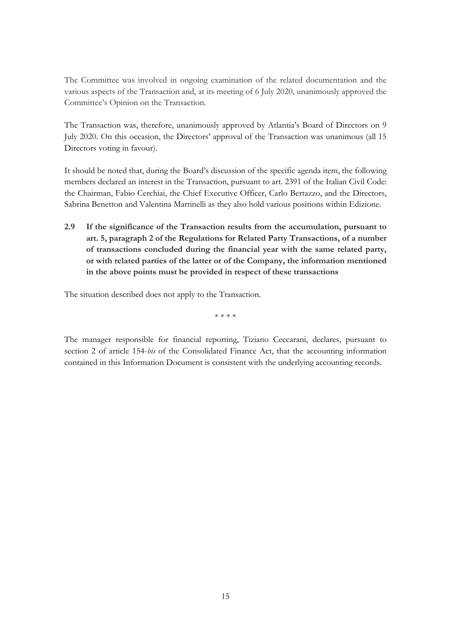The Committee was involved in ongoing examination of the related documentation and the various aspects of the Transaction and, at its meeting of 6 July 2020, unanimously approved the Committee's Opinion on the Transaction.

The Transaction was, therefore, unanimously approved by Atlantia's Board of Directors on 9 July 2020. On this occasion, the Directors' approval of the Transaction was unanimous (all 15 Directors voting in favour).

It should be noted that, during the Board's discussion of the specific agenda item, the following members declared an interest in the Transaction, pursuant to art. 2391 of the Italian Civil Code: the Chairman, Fabio Cerchiai, the Chief Executive Officer, Carlo Bertazzo, and the Directors, Sabrina Benetton and Valentina Martinelli as they also hold various positions within Edizione.

<span id="page-14-0"></span>**2.9 If the significance of the Transaction results from the accumulation, pursuant to art. 5, paragraph 2 of the Regulations for Related Party Transactions, of a number of transactions concluded during the financial year with the same related party, or with related parties of the latter or of the Company, the information mentioned in the above points must be provided in respect of these transactions** 

The situation described does not apply to the Transaction.

\* \* \* \*

The manager responsible for financial reporting, Tiziano Ceccarani, declares, pursuant to section 2 of article 154-*bis* of the Consolidated Finance Act, that the accounting information contained in this Information Document is consistent with the underlying accounting records.